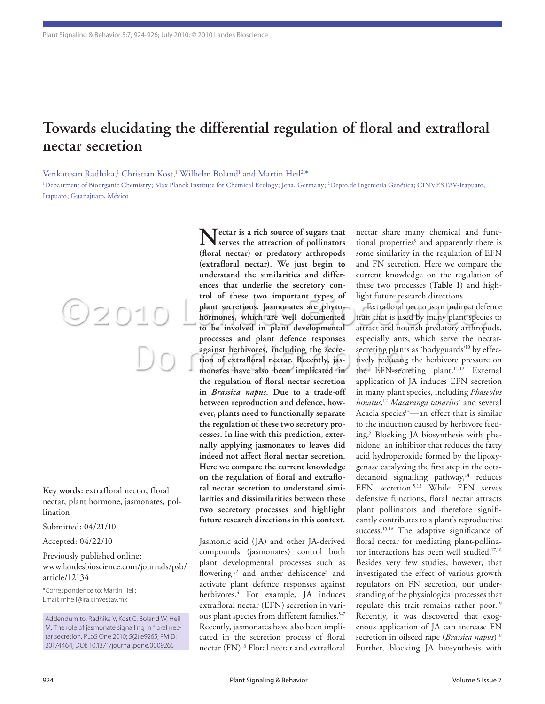## **Towards elucidating the differential regulation of floral and extrafloral nectar secretion**

Venkatesan Radhika,<sup>1</sup> Christian Kost,<sup>1</sup> Wilhelm Boland<sup>1</sup> and Martin Heil<sup>2,\*</sup>

1 Department of Bioorganic Chemistry; Max Planck Institute for Chemical Ecology; Jena, Germany; 2 Depto.de Ingeniería Genética; CINVESTAV-Irapuato, Irapuato; Guanajuato, México

**Key words:** extrafloral nectar, floral

 $O2010$ 

nectar, plant hormone, jasmonates, pollination

Submitted: 04/21/10

Accepted: 04/22/10

Previously published online: www.landesbioscience.com/journals/psb/ article/12134

\*Correspondence to: Martin Heil; Email: mheil@ira.cinvestav.mx

Addendum to: Radhika V, Kost C, Boland W, Heil M. The role of jasmonate signalling in floral nectar secretion. PLoS One 2010; 5(2):e9265; PMID: 20174464; DOI: 10.1371/journal.pone.0009265

**Nectar is a rich source of sugars that serves the attraction of pollinators (floral nectar) or predatory arthropods (extrafloral nectar). We just begin to understand the similarities and differences that underlie the secretory control of these two important types of plant secretions. Jasmonates are phytohormones, which are well documented to be involved in plant developmental processes and plant defence responses against herbivores, including the secretion of extrafloral nectar. Recently, jasmonates have also been implicated in the regulation of floral nectar secretion in** *Brassica napus***. Due to a trade-off between reproduction and defence, however, plants need to functionally separate the regulation of these two secretory processes. In line with this prediction, externally applying jasmonates to leaves did indeed not affect floral nectar secretion. Here we compare the current knowledge on the regulation of floral and extrafloral nectar secretion to understand similarities and dissimilarities between these two secretory processes and highlight future research directions in this context.**

Jasmonic acid (JA) and other JA-derived compounds (jasmonates) control both plant developmental processes such as flowering<sup>1,2</sup> and anther dehiscence<sup>3</sup> and activate plant defence responses against herbivores.4 For example, JA induces extrafloral nectar (EFN) secretion in various plant species from different families.5-7 Recently, jasmonates have also been implicated in the secretion process of floral nectar (FN).8 Floral nectar and extrafloral nectar share many chemical and functional properties<sup>9</sup> and apparently there is some similarity in the regulation of EFN and FN secretion. Here we compare the current knowledge on the regulation of these two processes (**Table 1**) and highlight future research directions.

Extrafloral nectar is an indirect defence trait that is used by many plant species to attract and nourish predatory arthropods, especially ants, which serve the nectarsecreting plants as 'bodyguards'10 by effectively reducing the herbivore pressure on the EFN-secreting plant.<sup>11,12</sup> External application of JA induces EFN secretion in many plant species, including *Phaseolus lunatus*, <sup>12</sup> *Macaranga tanarius*<sup>5</sup> and several Acacia species $13$ —an effect that is similar to the induction caused by herbivore feeding.5 Blocking JA biosynthesis with phenidone, an inhibitor that reduces the fatty acid hydroperoxide formed by the lipoxygenase catalyzing the first step in the octadecanoid signalling pathway,<sup>14</sup> reduces EFN secretion.5,13 While EFN serves defensive functions, floral nectar attracts plant pollinators and therefore significantly contributes to a plant's reproductive success.<sup>15,16</sup> The adaptive significance of floral nectar for mediating plant-pollinator interactions has been well studied.<sup>17,18</sup> Besides very few studies, however, that investigated the effect of various growth regulators on FN secretion, our understanding of the physiological processes that regulate this trait remains rather poor.<sup>19</sup> Recently, it was discovered that exogenous application of JA can increase FN secretion in oilseed rape (*Brassica napus*).8 Further, blocking JA biosynthesis with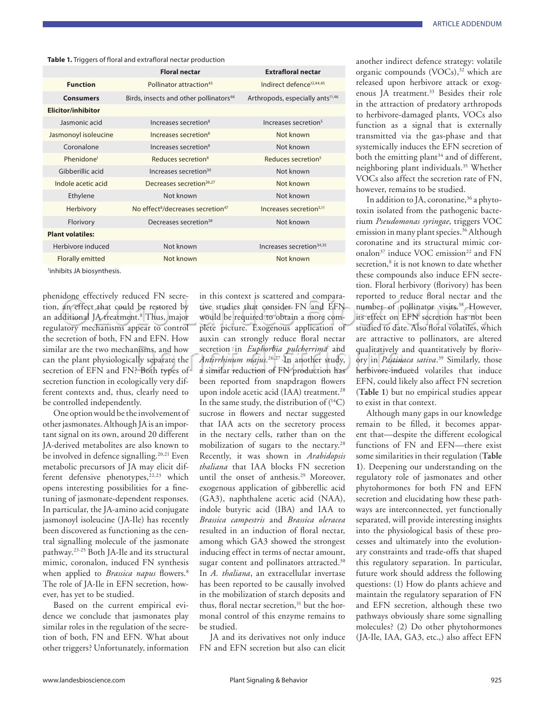**Table 1.** Triggers of floral and extrafloral nectar production

|                            | <b>Floral nectar</b>                                      | <b>Extrafloral nectar</b>                    |
|----------------------------|-----------------------------------------------------------|----------------------------------------------|
| <b>Function</b>            | Pollinator attraction <sup>43</sup>                       | Indirect defence <sup>12,44,45</sup>         |
| <b>Consumers</b>           | Birds, insects and other pollinators <sup>46</sup>        | Arthropods, especially ants <sup>11,46</sup> |
| <b>Elicitor/inhibitor</b>  |                                                           |                                              |
| Jasmonic acid              | Increases secretion <sup>8</sup>                          | Increases secretion <sup>5</sup>             |
| Jasmonoyl isoleucine       | Increases secretion <sup>8</sup>                          | Not known                                    |
| Coronalone                 | Increases secretion <sup>8</sup>                          | Not known                                    |
| Phenidone <sup>1</sup>     | Reduces secretion <sup>8</sup>                            | Reduces secretion <sup>5</sup>               |
| Gibberillic acid           | Increases secretion <sup>30</sup>                         | Not known                                    |
| Indole acetic acid         | Decreases secretion <sup>26,27</sup>                      | Not known                                    |
| Ethylene                   | Not known                                                 | Not known                                    |
| Herbivory                  | No effect <sup>8</sup> /decreases secretion <sup>47</sup> | Increases secretion <sup>5,11</sup>          |
| Florivory                  | Decreases secretion <sup>38</sup>                         | Not known                                    |
| <b>Plant volatiles:</b>    |                                                           |                                              |
| Herbivore induced          | Not known                                                 | Increases secretion <sup>34,35</sup>         |
| Florally emitted           | Not known                                                 | Not known                                    |
| linhibite IA hinevesthacie |                                                           |                                              |

1 inhibits JA biosynthesis.

phenidone effectively reduced FN secretion, an effect that could be restored by an additional JA treatment.<sup>8</sup> Thus, major regulatory mechanisms appear to control the secretion of both, FN and EFN. How similar are the two mechanisms, and how can the plant physiologically separate the secretion of EFN and FN? Both types of secretion function in ecologically very different contexts and, thus, clearly need to be controlled independently.

One option would be the involvement of other jasmonates. Although JA is an important signal on its own, around 20 different JA-derived metabolites are also known to be involved in defence signalling.<sup>20,21</sup> Even metabolic precursors of JA may elicit different defensive phenotypes,<sup>22,23</sup> which opens interesting possibilities for a finetuning of jasmonate-dependent responses. In particular, the JA-amino acid conjugate jasmonoyl isoleucine (JA-Ile) has recently been discovered as functioning as the central signalling molecule of the jasmonate pathway.23-25 Both JA-Ile and its structural mimic, coronalon, induced FN synthesis when applied to *Brassica napus* flowers.<sup>8</sup> The role of JA-Ile in EFN secretion, however, has yet to be studied.

Based on the current empirical evidence we conclude that jasmonates play similar roles in the regulation of the secretion of both, FN and EFN. What about other triggers? Unfortunately, information in this context is scattered and comparative studies that consider FN and EFN would be required to obtain a more complete picture. Exogenous application of auxin can strongly reduce floral nectar secretion in *Euphorbia pulcherrima* and *Antirrhinum majus.*26,27 In another study, a similar reduction of FN production has been reported from snapdragon flowers upon indole acetic acid (IAA) treatment.<sup>28</sup> In the same study, the distribution of  $(^{14}C)$ sucrose in flowers and nectar suggested that IAA acts on the secretory process in the nectary cells, rather than on the mobilization of sugars to the nectary.28 Recently, it was shown in *Arabidopsis thaliana* that IAA blocks FN secretion until the onset of anthesis.29 Moreover, exogenous application of gibberellic acid (GA3), naphthalene acetic acid (NAA), indole butyric acid (IBA) and IAA to *Brassica campestris* and *Brassica oleracea* resulted in an induction of floral nectar, among which GA3 showed the strongest inducing effect in terms of nectar amount, sugar content and pollinators attracted.<sup>30</sup> In *A. thaliana*, an extracellular invertase has been reported to be causally involved in the mobilization of starch deposits and thus, floral nectar secretion, $31$  but the hormonal control of this enzyme remains to be studied.

JA and its derivatives not only induce FN and EFN secretion but also can elicit

another indirect defence strategy: volatile organic compounds  $(VOCs),<sup>32</sup>$  which are released upon herbivore attack or exogenous JA treatment.<sup>33</sup> Besides their role in the attraction of predatory arthropods to herbivore-damaged plants, VOCs also function as a signal that is externally transmitted via the gas-phase and that systemically induces the EFN secretion of both the emitting plant<sup>34</sup> and of different, neighboring plant individuals.35 Whether VOCs also affect the secretion rate of FN, however, remains to be studied.

In addition to JA, coronatine,  $36$  a phytotoxin isolated from the pathogenic bacterium *Pseudomonas syringae*, triggers VOC emission in many plant species.<sup>36</sup> Although coronatine and its structural mimic coronalon<sup>37</sup> induce VOC emission<sup>22</sup> and FN secretion,<sup>8</sup> it is not known to date whether these compounds also induce EFN secretion. Floral herbivory (florivory) has been reported to reduce floral nectar and the number of pollinator visits.<sup>38</sup> However, its effect on EFN secretion has not been studied to date. Also floral volatiles, which are attractive to pollinators, are altered qualitatively and quantitatively by florivory in *Pastinaca sativa*. 39 Similarly, those herbivore-induced volatiles that induce EFN, could likely also affect FN secretion (**Table 1**) but no empirical studies appear to exist in that context.

Although many gaps in our knowledge remain to be filled, it becomes apparent that—despite the different ecological functions of FN and EFN—there exist some similarities in their regulation (**Table 1**). Deepening our understanding on the regulatory role of jasmonates and other phytohormones for both FN and EFN secretion and elucidating how these pathways are interconnected, yet functionally separated, will provide interesting insights into the physiological basis of these processes and ultimately into the evolutionary constraints and trade-offs that shaped this regulatory separation. In particular, future work should address the following questions: (1) How do plants achieve and maintain the regulatory separation of FN and EFN secretion, although these two pathways obviously share some signalling molecules? (2) Do other phytohormones (JA-Ile, IAA, GA3, etc.,) also affect EFN